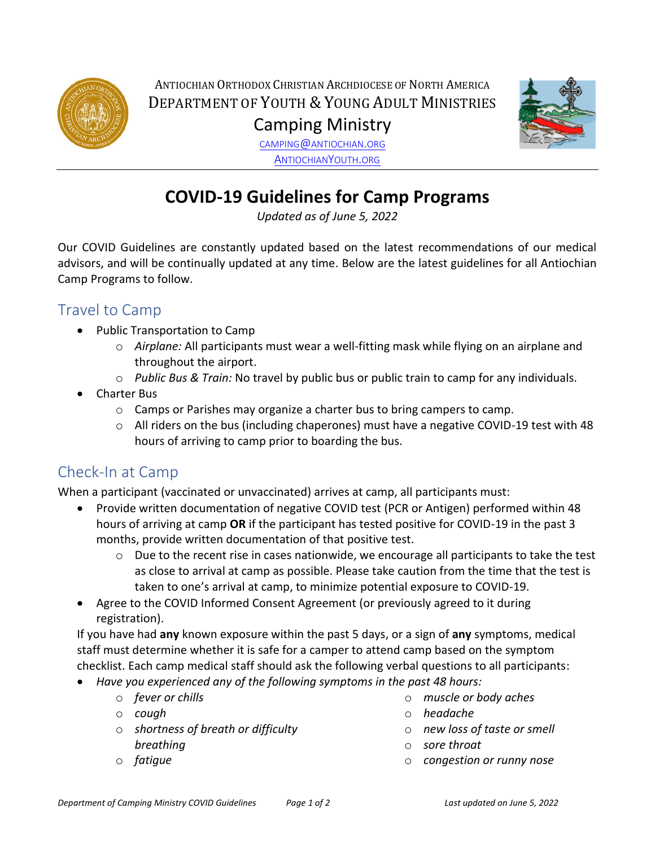

ANTIOCHIAN ORTHODOX CHRISTIAN ARCHDIOCESE OF NORTH AMERICA DEPARTMENT OF YOUTH & YOUNG ADULT MINISTRIES Camping Ministry



CAMPING@[ANTIOCHIAN](mailto:camping@antiochian.org).ORG A[NTIOCHIAN](http://www.antiochianyouth.org/)YOUTH.ORG

# **COVID-19 Guidelines for Camp Programs**

*Updated as of June 5, 2022*

Our COVID Guidelines are constantly updated based on the latest recommendations of our medical advisors, and will be continually updated at any time. Below are the latest guidelines for all Antiochian Camp Programs to follow.

## Travel to Camp

- Public Transportation to Camp
	- o *Airplane:* All participants must wear a well-fitting mask while flying on an airplane and throughout the airport.
	- o *Public Bus & Train:* No travel by public bus or public train to camp for any individuals.
- Charter Bus
	- o Camps or Parishes may organize a charter bus to bring campers to camp.
	- $\circ$  All riders on the bus (including chaperones) must have a negative COVID-19 test with 48 hours of arriving to camp prior to boarding the bus.

## Check-In at Camp

When a participant (vaccinated or unvaccinated) arrives at camp, all participants must:

- Provide written documentation of negative COVID test (PCR or Antigen) performed within 48 hours of arriving at camp **OR** if the participant has tested positive for COVID-19 in the past 3 months, provide written documentation of that positive test.
	- $\circ$  Due to the recent rise in cases nationwide, we encourage all participants to take the test as close to arrival at camp as possible. Please take caution from the time that the test is taken to one's arrival at camp, to minimize potential exposure to COVID-19.
- Agree to the COVID Informed Consent Agreement (or previously agreed to it during registration).

If you have had **any** known exposure within the past 5 days, or a sign of **any** symptoms, medical staff must determine whether it is safe for a camper to attend camp based on the symptom checklist. Each camp medical staff should ask the following verbal questions to all participants:

- *Have you experienced any of the following symptoms in the past 48 hours:*
	- o *fever or chills*
	- o *cough*
	- o *shortness of breath or difficulty breathing*
	- o *fatigue*
- o *muscle or body aches*
- o *headache*
- o *new loss of taste or smell*
- o *sore throat*
- o *congestion or runny nose*